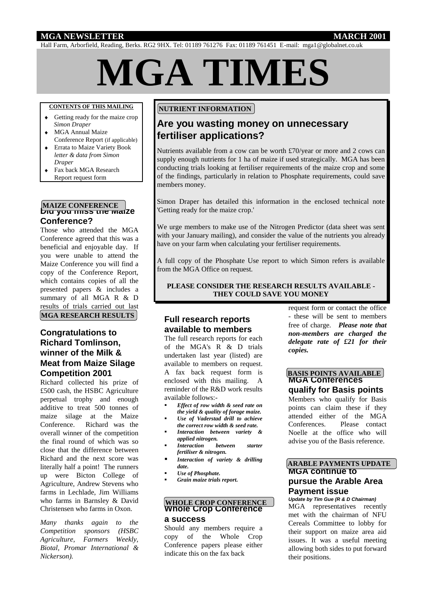#### **MGA NEWSLETTER MARCH 2001**

Hall Farm, Arborfield, Reading, Berks. RG2 9HX. Tel: 01189 761276 Fax: 01189 761451 E-mail: mga1@globalnet.co.uk

# **MGA TIMES**

#### **CONTENTS OF THIS MAILING**

- Getting ready for the maize crop  *Simon Draper*
- MGA Annual Maize Conference Report (if applicable)
- Errata to Maize Variety Book *letter & data from Simon Draper*
- ◆ Fax back MGA Research Report request form

### **MAIZE CONFERENCE**<br>Did you miss the Maize **Conference?**

Those who attended the MGA Conference agreed that this was a beneficial and enjoyable day. If you were unable to attend the Maize Conference you will find a copy of the Conference Report, which contains copies of all the presented papers & includes a summary of all MGA R & D results of trials carried out last **MGA RESEARCH RESULTS** 

#### **Congratulations to Richard Tomlinson, winner of the Milk & Meat from Maize Silage Competition 2001**

Richard collected his prize of £500 cash, the HSBC Agriculture perpetual trophy and enough additive to treat 500 tonnes of maize silage at the Maize Conference. Richard was the overall winner of the competition the final round of which was so close that the difference between Richard and the next score was literally half a point! The runners up were Bicton College of Agriculture, Andrew Stevens who farms in Lechlade, Jim Williams who farms in Barnsley & David Christensen who farms in Oxon.

*Many thanks again to the Competition sponsors (HSBC Agriculture, Farmers Weekly, Biotal, Promar International & Nickerson).*

#### **NUTRIENT INFORMATION**

#### **Are you wasting money on unnecessary fertiliser applications?**

Nutrients available from a cow can be worth £70/year or more and 2 cows can supply enough nutrients for 1 ha of maize if used strategically. MGA has been conducting trials looking at fertiliser requirements of the maize crop and some of the findings, particularly in relation to Phosphate requirements, could save members money.

Simon Draper has detailed this information in the enclosed technical note 'Getting ready for the maize crop.'

We urge members to make use of the Nitrogen Predictor (data sheet was sent with your January mailing), and consider the value of the nutrients you already have on your farm when calculating your fertiliser requirements.

A full copy of the Phosphate Use report to which Simon refers is available from the MGA Office on request.

#### **PLEASE CONSIDER THE RESEARCH RESULTS AVAILABLE - THEY COULD SAVE YOU MONEY**

#### **Full research reports available to members**

The full research reports for each of the MGA's R & D trials undertaken last year (listed) are available to members on request. A fax back request form is enclosed with this mailing. A reminder of the R&D work results available follows:-

- *Effect of row width & seed rate on the yield & quality of forage maize.*
- *Use of Vaderstad drill to achieve the correct row width & seed rate.*
- *Interaction between variety & applied nitrogen.*
- *Interaction between starter fertiliser & nitrogen.*
- *Interaction of variety & drilling date.*
- *Use of Phosphate.*
- *Grain maize trials report.*

#### **Whole Crop Conference WHOLE CROP CONFERENCE**

## **a success**

Should any members require a copy of the Whole Crop Conference papers please either indicate this on the fax back

request form or contact the office - these will be sent to members free of charge. *Please note that non-members are charged the delegate rate of £21 for their copies.*

#### **MGA Conferences BASIS POINTS AVAILABLE**

**qualify for Basis points** Members who qualify for Basis points can claim these if they attended either of the MGA Conferences. Please contact Noelle at the office who will advise you of the Basis reference.

#### **MGA continue to pursue the Arable Area Payment issue ARABLE PAYMENTS UPDATE**

*Update by Tim Gue (R & D Chairman)* MGA representatives recently met with the chairman of NFU Cereals Committee to lobby for their support on maize area aid issues. It was a useful meeting allowing both sides to put forward their positions.